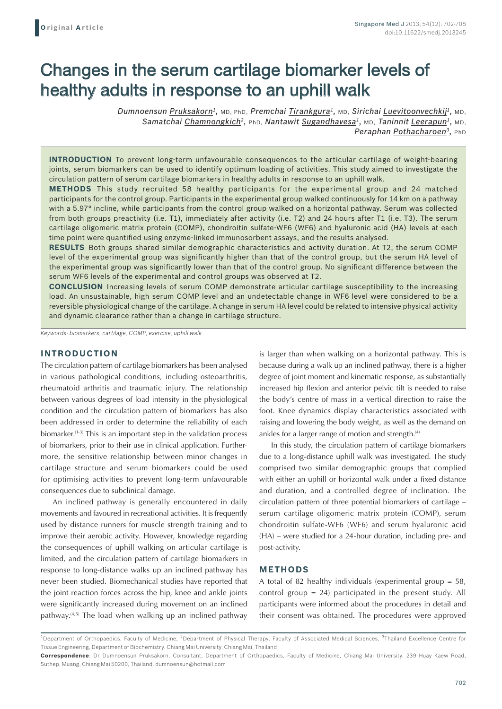# Changes in the serum cartilage biomarker levels of healthy adults in response to an uphill walk

*Dumnoensun Pruksakorn1,* MD, PhD, *Premchai Tirankgura1,* MD, *Sirichai Luevitoonvechkij1,* MD, *Samatchai Chamnongkich2,* PhD, *Nantawit Sugandhavesa1,* MD, *Taninnit Leerapun1,* MD, *Peraphan Pothacharoen3,* PhD

**INTRODUCTION** To prevent long-term unfavourable consequences to the articular cartilage of weight-bearing joints, serum biomarkers can be used to identify optimum loading of activities. This study aimed to investigate the circulation pattern of serum cartilage biomarkers in healthy adults in response to an uphill walk.

**Methods** This study recruited 58 healthy participants for the experimental group and 24 matched participants for the control group. Participants in the experimental group walked continuously for 14 km on a pathway with a 5.97° incline, while participants from the control group walked on a horizontal pathway. Serum was collected from both groups preactivity (i.e. T1), immediately after activity (i.e. T2) and 24 hours after T1 (i.e. T3). The serum cartilage oligomeric matrix protein (COMP), chondroitin sulfate-WF6 (WF6) and hyaluronic acid (HA) levels at each time point were quantified using enzyme-linked immunosorbent assays, and the results analysed.

**Results** Both groups shared similar demographic characteristics and activity duration. At T2, the serum COMP level of the experimental group was significantly higher than that of the control group, but the serum HA level of the experimental group was significantly lower than that of the control group. No significant difference between the serum WF6 levels of the experimental and control groups was observed at T2.

**Conclusion** Increasing levels of serum COMP demonstrate articular cartilage susceptibility to the increasing load. An unsustainable, high serum COMP level and an undetectable change in WF6 level were considered to be a reversible physiological change of the cartilage. A change in serum HA level could be related to intensive physical activity and dynamic clearance rather than a change in cartilage structure.

*Keywords: biomarkers, cartilage, COMP, exercise, uphill walk*

## **INTRODUCTION**

The circulation pattern of cartilage biomarkers has been analysed in various pathological conditions, including osteoarthritis, rheumatoid arthritis and traumatic injury. The relationship between various degrees of load intensity in the physiological condition and the circulation pattern of biomarkers has also been addressed in order to determine the reliability of each biomarker.(1-3) This is an important step in the validation process of biomarkers, prior to their use in clinical application. Furthermore, the sensitive relationship between minor changes in cartilage structure and serum biomarkers could be used for optimising activities to prevent long-term unfavourable consequences due to subclinical damage.

An inclined pathway is generally encountered in daily movements and favoured in recreational activities. It is frequently used by distance runners for muscle strength training and to improve their aerobic activity. However, knowledge regarding the consequences of uphill walking on articular cartilage is limited, and the circulation pattern of cartilage biomarkers in response to long-distance walks up an inclined pathway has never been studied. Biomechanical studies have reported that the joint reaction forces across the hip, knee and ankle joints were significantly increased during movement on an inclined pathway. $(4,5)$  The load when walking up an inclined pathway

is larger than when walking on a horizontal pathway. This is because during a walk up an inclined pathway, there is a higher degree of joint moment and kinematic response, as substantially increased hip flexion and anterior pelvic tilt is needed to raise the body's centre of mass in a vertical direction to raise the foot. Knee dynamics display characteristics associated with raising and lowering the body weight, as well as the demand on ankles for a larger range of motion and strength.<sup>(4)</sup>

In this study, the circulation pattern of cartilage biomarkers due to a long-distance uphill walk was investigated. The study comprised two similar demographic groups that complied with either an uphill or horizontal walk under a fixed distance and duration, and a controlled degree of inclination. The circulation pattern of three potential biomarkers of cartilage – serum cartilage oligomeric matrix protein (COMP), serum chondroitin sulfate-WF6 (WF6) and serum hyaluronic acid (HA) – were studied for a 24-hour duration, including pre- and post-activity.

### **METHODS**

A total of 82 healthy individuals (experimental group  $= 58$ , control group = 24) participated in the present study. All participants were informed about the procedures in detail and their consent was obtained. The procedures were approved

<sup>&</sup>lt;sup>1</sup>Department of Orthopaedics, Faculty of Medicine, <sup>2</sup>Department of Physical Therapy, Faculty of Associated Medical Sciences, <sup>3</sup>Thailand Excellence Centre for Tissue Engineering, Department of Biochemistry, Chiang Mai University, Chiang Mai, Thailand

**Correspondence**: Dr Dumnoensun Pruksakorn, Consultant, Department of Orthopaedics, Faculty of Medicine, Chiang Mai University, 239 Huay Kaew Road, Suthep, Muang, Chiang Mai 50200, Thailand. dumnoensun@hotmail.com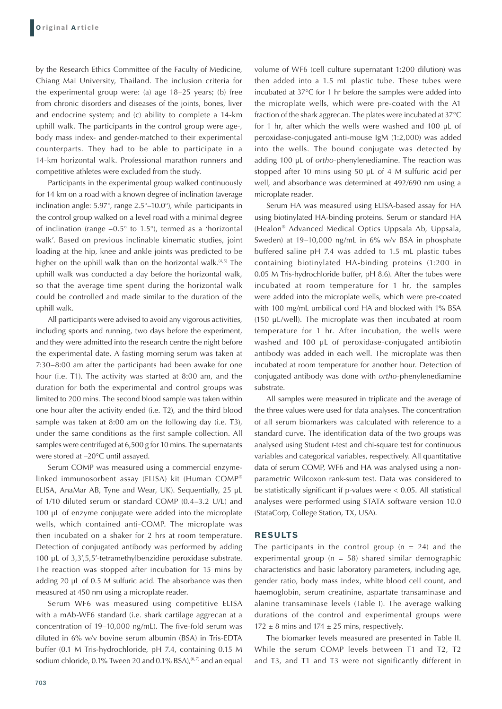by the Research Ethics Committee of the Faculty of Medicine, Chiang Mai University, Thailand. The inclusion criteria for the experimental group were: (a) age 18–25 years; (b) free from chronic disorders and diseases of the joints, bones, liver and endocrine system; and (c) ability to complete a 14-km uphill walk. The participants in the control group were age-, body mass index- and gender-matched to their experimental counterparts. They had to be able to participate in a 14-km horizontal walk. Professional marathon runners and competitive athletes were excluded from the study.

Participants in the experimental group walked continuously for 14 km on a road with a known degree of inclination (average inclination angle: 5.97°, range 2.5°–10.0°), while participants in the control group walked on a level road with a minimal degree of inclination (range –0.5° to 1.5°), termed as a 'horizontal walk'. Based on previous inclinable kinematic studies, joint loading at the hip, knee and ankle joints was predicted to be higher on the uphill walk than on the horizontal walk.<sup>(4,5)</sup> The uphill walk was conducted a day before the horizontal walk, so that the average time spent during the horizontal walk could be controlled and made similar to the duration of the uphill walk.

All participants were advised to avoid any vigorous activities, including sports and running, two days before the experiment, and they were admitted into the research centre the night before the experimental date. A fasting morning serum was taken at 7:30–8:00 am after the participants had been awake for one hour (i.e. T1). The activity was started at 8:00 am, and the duration for both the experimental and control groups was limited to 200 mins. The second blood sample was taken within one hour after the activity ended (i.e. T2), and the third blood sample was taken at 8:00 am on the following day (i.e. T3), under the same conditions as the first sample collection. All samples were centrifuged at 6,500 g for 10 mins. The supernatants were stored at –20°C until assayed.

Serum COMP was measured using a commercial enzymelinked immunosorbent assay (ELISA) kit (Human COMP® ELISA, AnaMar AB, Tyne and Wear, UK). Sequentially, 25 µL of 1/10 diluted serum or standard COMP (0.4–3.2 U/L) and 100 µL of enzyme conjugate were added into the microplate wells, which contained anti-COMP. The microplate was then incubated on a shaker for 2 hrs at room temperature. Detection of conjugated antibody was performed by adding 100 µL of 3,3',5,5'-tetramethylbenzidine peroxidase substrate. The reaction was stopped after incubation for 15 mins by adding 20 µL of 0.5 M sulfuric acid. The absorbance was then measured at 450 nm using a microplate reader.

Serum WF6 was measured using competitive ELISA with a mAb-WF6 standard (i.e. shark cartilage aggrecan at a concentration of 19–10,000 ng/mL). The five-fold serum was diluted in 6% w/v bovine serum albumin (BSA) in Tris-EDTA buffer (0.1 M Tris-hydrochloride, pH 7.4, containing 0.15 M sodium chloride, 0.1% Tween 20 and 0.1% BSA),<sup>(6,7)</sup> and an equal volume of WF6 (cell culture supernatant 1:200 dilution) was then added into a 1.5 mL plastic tube. These tubes were incubated at 37°C for 1 hr before the samples were added into the microplate wells, which were pre-coated with the A1 fraction of the shark aggrecan. The plates were incubated at 37°C for 1 hr, after which the wells were washed and 100 µL of peroxidase-conjugated anti-mouse IgM (1:2,000) was added into the wells. The bound conjugate was detected by adding 100 µL of *ortho*-phenylenediamine. The reaction was stopped after 10 mins using 50 µL of 4 M sulfuric acid per well, and absorbance was determined at 492/690 nm using a microplate reader.

Serum HA was measured using ELISA-based assay for HA using biotinylated HA-binding proteins. Serum or standard HA (Healon® Advanced Medical Optics Uppsala Ab, Uppsala, Sweden) at 19–10,000 ng/mL in 6% w/v BSA in phosphate buffered saline pH 7.4 was added to 1.5 mL plastic tubes containing biotinylated HA-binding proteins (1:200 in 0.05 M Tris-hydrochloride buffer, pH 8.6). After the tubes were incubated at room temperature for 1 hr, the samples were added into the microplate wells, which were pre-coated with 100 mg/mL umbilical cord HA and blocked with 1% BSA (150 µL/well). The microplate was then incubated at room temperature for 1 hr. After incubation, the wells were washed and 100 µL of peroxidase-conjugated antibiotin antibody was added in each well. The microplate was then incubated at room temperature for another hour. Detection of conjugated antibody was done with *ortho*-phenylenediamine substrate.

All samples were measured in triplicate and the average of the three values were used for data analyses. The concentration of all serum biomarkers was calculated with reference to a standard curve. The identification data of the two groups was analysed using Student *t*-test and chi-square test for continuous variables and categorical variables, respectively. All quantitative data of serum COMP, WF6 and HA was analysed using a nonparametric Wilcoxon rank-sum test. Data was considered to be statistically significant if p-values were < 0.05. All statistical analyses were performed using STATA software version 10.0 (StataCorp, College Station, TX, USA).

## **RESULTS**

The participants in the control group ( $n = 24$ ) and the experimental group ( $n = 58$ ) shared similar demographic characteristics and basic laboratory parameters, including age, gender ratio, body mass index, white blood cell count, and haemoglobin, serum creatinine, aspartate transaminase and alanine transaminase levels (Table I). The average walking durations of the control and experimental groups were  $172 \pm 8$  mins and  $174 \pm 25$  mins, respectively.

The biomarker levels measured are presented in Table II. While the serum COMP levels between T1 and T2, T2 and T3, and T1 and T3 were not significantly different in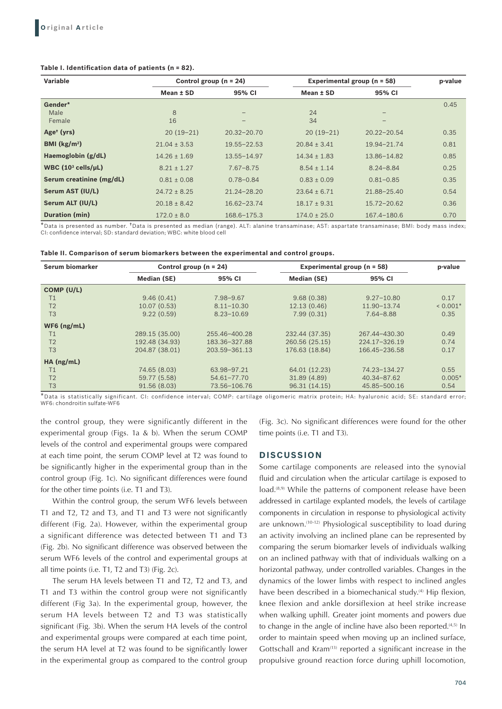#### **Table I. Identification data of patients (n = 82).**

| Variable                               | Control group ( $n = 24$ ) |                 | Experimental group ( $n = 58$ ) | p-value         |      |
|----------------------------------------|----------------------------|-----------------|---------------------------------|-----------------|------|
|                                        | Mean ± SD                  | 95% CI          | Mean ± SD                       | 95% CI          |      |
| Gender*                                |                            |                 |                                 |                 | 0.45 |
| Male                                   | 8                          |                 | 24                              |                 |      |
| Female                                 | 16                         |                 | 34                              |                 |      |
| Age <sup>t</sup> (yrs)                 | $20(19-21)$                | $20.32 - 20.70$ | $20(19-21)$                     | $20.22 - 20.54$ | 0.35 |
| BMI $(kg/m2)$                          | $21.04 \pm 3.53$           | 19.55 - 22.53   | $20.84 \pm 3.41$                | 19.94-21.74     | 0.81 |
| Haemoglobin (g/dL)                     | $14.26 \pm 1.69$           | $13.55 - 14.97$ | $14.34 \pm 1.83$                | 13.86-14.82     | 0.85 |
| WBC $(10^3 \text{ cells/}\mu\text{L})$ | $8.21 \pm 1.27$            | $7.67 - 8.75$   | $8.54 \pm 1.14$                 | $8.24 - 8.84$   | 0.25 |
| Serum creatinine (mg/dL)               | $0.81 \pm 0.08$            | $0.78 - 0.84$   | $0.83 \pm 0.09$                 | $0.81 - 0.85$   | 0.35 |
| Serum AST (IU/L)                       | $24.72 \pm 8.25$           | $21.24 - 28.20$ | $23.64 \pm 6.71$                | 21.88-25.40     | 0.54 |
| Serum ALT (IU/L)                       | $20.18 \pm 8.42$           | $16.62 - 23.74$ | $18.17 \pm 9.31$                | $15.72 - 20.62$ | 0.36 |
| Duration (min)                         | $172.0 \pm 8.0$            | 168.6-175.3     | $174.0 \pm 25.0$                | 167.4-180.6     | 0.70 |

\*Data is presented as number. †Data is presented as median (range). ALT: alanine transaminase; AST: aspartate transaminase; BMI: body mass index; CI: confidence interval; SD: standard deviation; WBC: white blood cell

| Table II. Comparison of serum biomarkers between the experimental and control groups. |  |  |  |
|---------------------------------------------------------------------------------------|--|--|--|
|---------------------------------------------------------------------------------------|--|--|--|

| Serum biomarker | Control group $(n = 24)$ |                 | Experimental group (n = 58) |                   | p-value    |
|-----------------|--------------------------|-----------------|-----------------------------|-------------------|------------|
|                 | Median (SE)              | 95% CI          | Median (SE)                 | 95% CI            |            |
| COMP (U/L)      |                          |                 |                             |                   |            |
| Τ1              | 9.46(0.41)               | 7.98-9.67       | 9.68(0.38)                  | $9.27 - 10.80$    | 0.17       |
| T <sub>2</sub>  | 10.07(0.53)              | $8.11 - 10.30$  | 12.13(0.46)                 | 11.90-13.74       | $< 0.001*$ |
| T <sub>3</sub>  | 9.22(0.59)               | $8.23 - 10.69$  | 7.99(0.31)                  | $7.64 - 8.88$     | 0.35       |
| $WF6$ (ng/mL)   |                          |                 |                             |                   |            |
| Τ1              | 289.15 (35.00)           | 255.46-400.28   | 232.44 (37.35)              | 267.44-430.30     | 0.49       |
| T <sub>2</sub>  | 192.48 (34.93)           | 183.36-327.88   | 260.56 (25.15)              | $224.17 - 326.19$ | 0.74       |
| T <sub>3</sub>  | 204.87 (38.01)           | 203.59-361.13   | 176.63 (18.84)              | 166.45-236.58     | 0.17       |
| $HA$ (ng/mL)    |                          |                 |                             |                   |            |
| T1              | 74.65 (8.03)             | 63.98-97.21     | 64.01 (12.23)               | 74.23-134.27      | 0.55       |
| T <sub>2</sub>  | 59.77 (5.58)             | $54.61 - 77.70$ | 31.89 (4.89)                | 40.34-87.62       | $0.005*$   |
| T <sub>3</sub>  | 91.56 (8.03)             | 73.56-106.76    | 96.31 (14.15)               | 45.85-500.16      | 0.54       |

\*Data is statistically significant. CI: confidence interval; COMP: cartilage oligomeric matrix protein; HA: hyaluronic acid; SE: standard error; WF6: chondroitin sulfate-WF6

the control group, they were significantly different in the experimental group (Figs. 1a & b). When the serum COMP levels of the control and experimental groups were compared at each time point, the serum COMP level at T2 was found to be significantly higher in the experimental group than in the control group (Fig. 1c). No significant differences were found for the other time points (i.e. T1 and T3).

Within the control group, the serum WF6 levels between T1 and T2, T2 and T3, and T1 and T3 were not significantly different (Fig. 2a). However, within the experimental group a significant difference was detected between T1 and T3 (Fig. 2b). No significant difference was observed between the serum WF6 levels of the control and experimental groups at all time points (i.e. T1, T2 and T3) (Fig. 2c).

The serum HA levels between T1 and T2, T2 and T3, and T1 and T3 within the control group were not significantly different (Fig 3a). In the experimental group, however, the serum HA levels between T2 and T3 was statistically significant (Fig. 3b). When the serum HA levels of the control and experimental groups were compared at each time point, the serum HA level at T2 was found to be significantly lower in the experimental group as compared to the control group (Fig. 3c). No significant differences were found for the other time points (i.e. T1 and T3).

## **DISCUSSION**

Some cartilage components are released into the synovial fluid and circulation when the articular cartilage is exposed to load.<sup>(8,9)</sup> While the patterns of component release have been addressed in cartilage explanted models, the levels of cartilage components in circulation in response to physiological activity are unknown.(10-12) Physiological susceptibility to load during an activity involving an inclined plane can be represented by comparing the serum biomarker levels of individuals walking on an inclined pathway with that of individuals walking on a horizontal pathway, under controlled variables. Changes in the dynamics of the lower limbs with respect to inclined angles have been described in a biomechanical study.<sup>(4)</sup> Hip flexion, knee flexion and ankle dorsiflexion at heel strike increase when walking uphill. Greater joint moments and powers due to change in the angle of incline have also been reported. $(4,5)$  In order to maintain speed when moving up an inclined surface, Gottschall and Kram<sup>(13)</sup> reported a significant increase in the propulsive ground reaction force during uphill locomotion,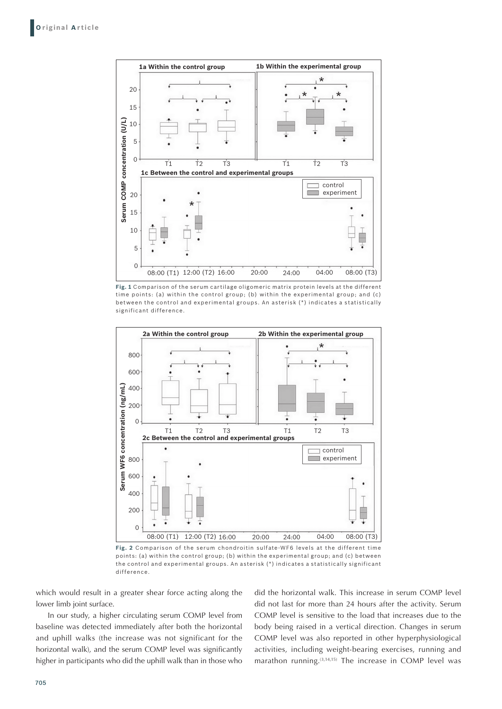

**Fig. 1** Comparison of the serum cartilage oligomeric matrix protein levels at the different time points: (a) within the control group; (b) within the experimental group; and (c) between the control and experimental groups. An asterisk (\*) indicates a statistically



**Fig. 2** Comparison of the serum chondroitin sulfate-WF6 levels at the different time points: (a) within the control group; (b) within the experimental group; and (c) between the control and experimental groups. An asterisk (\*) indicates a statistically significant difference.

which would result in a greater shear force acting along the lower limb joint surface.

In our study, a higher circulating serum COMP level from baseline was detected immediately after both the horizontal and uphill walks (the increase was not significant for the horizontal walk), and the serum COMP level was significantly higher in participants who did the uphill walk than in those who did the horizontal walk. This increase in serum COMP level did not last for more than 24 hours after the activity. Serum COMP level is sensitive to the load that increases due to the body being raised in a vertical direction. Changes in serum COMP level was also reported in other hyperphysiological activities, including weight-bearing exercises, running and marathon running.(3,14,15) The increase in COMP level was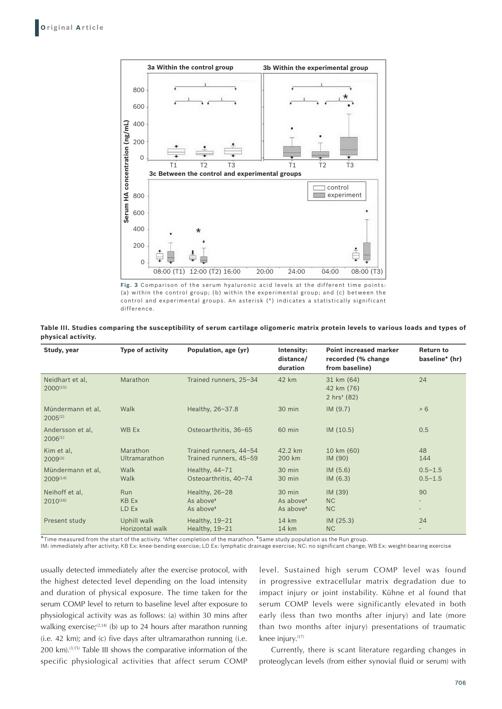

**Fig. 3** Comparison of the serum hyaluronic acid levels at the different time points: (a) within the control group; (b) within the experimental group; and (c) between the control and experimental groups. An asterisk (\*) indicates a statistically significant difference.

**Table III. Studies comparing the susceptibility of serum cartilage oligomeric matrix protein levels to various loads and types of physical activity.**

| Study, year                        | Type of activity                    | Population, age (yr)                                             | Intensity:<br>distance/<br>duration                      | <b>Point increased marker</b><br>recorded (% change<br>from baseline) | <b>Return to</b><br>baseline* (hr)                         |
|------------------------------------|-------------------------------------|------------------------------------------------------------------|----------------------------------------------------------|-----------------------------------------------------------------------|------------------------------------------------------------|
| Neidhart et al,<br>$2000^{(15)}$   | Marathon                            | Trained runners, 25-34                                           | 42 km                                                    | 31 km (64)<br>42 km (76)<br>$2 \text{ hrs}^+ (82)$                    | 24                                                         |
| Mündermann et al,<br>$2005^{(2)}$  | Walk                                | Healthy, 26-37.8                                                 | 30 min                                                   | IM(9.7)                                                               | > 6                                                        |
| Andersson et al,<br>$2006^{(1)}$   | WB Ex                               | Osteoarthritis, 36-65                                            | 60 min                                                   | IM(10.5)                                                              | 0.5                                                        |
| Kim et al,<br>$2009^{(3)}$         | Marathon<br>Ultramarathon           | Trained runners, 44-54<br>Trained runners, 45-59                 | 42.2 km<br>200 km                                        | 10 km (60)<br>IM (90)                                                 | 48<br>144                                                  |
| Mündermann et al,<br>$2009^{(14)}$ | Walk<br>Walk                        | Healthy, 44-71<br>Osteoarthritis, 40-74                          | 30 min<br>$30$ min                                       | IM(5.6)<br>IM(6.3)                                                    | $0.5 - 1.5$<br>$0.5 - 1.5$                                 |
| Neihoff et al,<br>$2010^{(16)}$    | <b>Run</b><br><b>KB Ex</b><br>LD Ex | Healthy, 26-28<br>As above <sup>*</sup><br>As above <sup>*</sup> | 30 min<br>As above <sup>*</sup><br>As above <sup>*</sup> | IM(39)<br><b>NC</b><br><b>NC</b>                                      | 90<br>$\overline{\phantom{a}}$<br>$\overline{\phantom{a}}$ |
| Present study                      | Uphill walk<br>Horizontal walk      | Healthy, $19-21$<br>Healthy, 19-21                               | $14 \text{ km}$<br>$14 \text{ km}$                       | IM(25.3)<br>N <sub>C</sub>                                            | 24                                                         |

\*Time measured from the start of the activity. †After completion of the marathon. ‡Same study population as the Run group.

IM: immediately after activity; KB Ex: knee-bending exercise; LD Ex: lymphatic drainage exercise; NC: no significant change; WB Ex: weight-bearing exercise

usually detected immediately after the exercise protocol, with the highest detected level depending on the load intensity and duration of physical exposure. The time taken for the serum COMP level to return to baseline level after exposure to physiological activity was as follows: (a) within 30 mins after walking exercise; $(2,14)$  (b) up to 24 hours after marathon running (i.e. 42 km); and (c) five days after ultramarathon running (i.e. 200 km).(3,15) Table III shows the comparative information of the specific physiological activities that affect serum COMP

level. Sustained high serum COMP level was found in progressive extracellular matrix degradation due to impact injury or joint instability. Kühne et al found that serum COMP levels were significantly elevated in both early (less than two months after injury) and late (more than two months after injury) presentations of traumatic knee injury.(17)

Currently, there is scant literature regarding changes in proteoglycan levels (from either synovial fluid or serum) with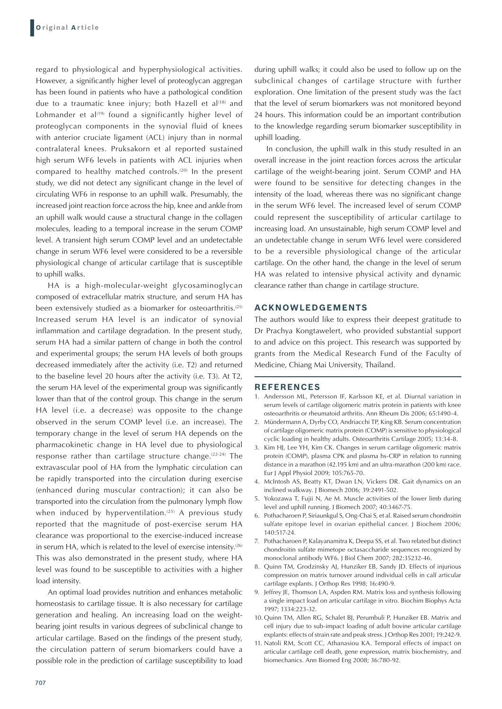regard to physiological and hyperphysiological activities. However, a significantly higher level of proteoglycan aggregan has been found in patients who have a pathological condition due to a traumatic knee injury; both Hazell et al<sup>(18)</sup> and Lohmander et al $(19)$  found a significantly higher level of proteoglycan components in the synovial fluid of knees with anterior cruciate ligament (ACL) injury than in normal contralateral knees. Pruksakorn et al reported sustained high serum WF6 levels in patients with ACL injuries when compared to healthy matched controls.<sup>(20)</sup> In the present study, we did not detect any significant change in the level of circulating WF6 in response to an uphill walk. Presumably, the increased joint reaction force across the hip, knee and ankle from an uphill walk would cause a structural change in the collagen molecules, leading to a temporal increase in the serum COMP level. A transient high serum COMP level and an undetectable change in serum WF6 level were considered to be a reversible physiological change of articular cartilage that is susceptible to uphill walks.

HA is a high-molecular-weight glycosaminoglycan composed of extracellular matrix structure, and serum HA has been extensively studied as a biomarker for osteoarthritis.<sup>(21)</sup> Increased serum HA level is an indicator of synovial inflammation and cartilage degradation. In the present study, serum HA had a similar pattern of change in both the control and experimental groups; the serum HA levels of both groups decreased immediately after the activity (i.e. T2) and returned to the baseline level 20 hours after the activity (i.e. T3). At T2, the serum HA level of the experimental group was significantly lower than that of the control group. This change in the serum HA level (i.e. a decrease) was opposite to the change observed in the serum COMP level (i.e. an increase). The temporary change in the level of serum HA depends on the pharmacokinetic change in HA level due to physiological response rather than cartilage structure change.(22-24) The extravascular pool of HA from the lymphatic circulation can be rapidly transported into the circulation during exercise (enhanced during muscular contraction); it can also be transported into the circulation from the pulmonary lymph flow when induced by hyperventilation.<sup> $(25)$ </sup> A previous study reported that the magnitude of post-exercise serum HA clearance was proportional to the exercise-induced increase in serum HA, which is related to the level of exercise intensity.<sup>(26)</sup> This was also demonstrated in the present study, where HA level was found to be susceptible to activities with a higher load intensity.

An optimal load provides nutrition and enhances metabolic homeostasis to cartilage tissue. It is also necessary for cartilage generation and healing. An increasing load on the weightbearing joint results in various degrees of subclinical change to articular cartilage. Based on the findings of the present study, the circulation pattern of serum biomarkers could have a possible role in the prediction of cartilage susceptibility to load

during uphill walks; it could also be used to follow up on the subclinical changes of cartilage structure with further exploration. One limitation of the present study was the fact that the level of serum biomarkers was not monitored beyond 24 hours. This information could be an important contribution to the knowledge regarding serum biomarker susceptibility in uphill loading.

In conclusion, the uphill walk in this study resulted in an overall increase in the joint reaction forces across the articular cartilage of the weight-bearing joint. Serum COMP and HA were found to be sensitive for detecting changes in the intensity of the load, whereas there was no significant change in the serum WF6 level. The increased level of serum COMP could represent the susceptibility of articular cartilage to increasing load. An unsustainable, high serum COMP level and an undetectable change in serum WF6 level were considered to be a reversible physiological change of the articular cartilage. On the other hand, the change in the level of serum HA was related to intensive physical activity and dynamic clearance rather than change in cartilage structure.

## **Acknowledgements**

The authors would like to express their deepest gratitude to Dr Prachya Kongtawelert, who provided substantial support to and advice on this project. This research was supported by grants from the Medical Research Fund of the Faculty of Medicine, Chiang Mai University, Thailand.

#### **REFERENCES**

- 1. Andersson ML, Petersson IF, Karlsson KE, et al. Diurnal variation in serum levels of cartilage oligomeric matrix protein in patients with knee osteoarthritis or rheumatoid arthritis. Ann Rheum Dis 2006; 65:1490-4.
- 2. Mündermann A, Dyrby CO, Andriacchi TP, King KB. Serum concentration of cartilage oligomeric matrix protein (COMP) is sensitive to physiological cyclic loading in healthy adults. Osteoarthritis Cartilage 2005; 13:34-8.
- 3. Kim HJ, Lee YH, Kim CK. Changes in serum cartilage oligomeric matrix protein (COMP), plasma CPK and plasma hs-CRP in relation to running distance in a marathon (42.195 km) and an ultra-marathon (200 km) race. Eur J Appl Physiol 2009; 105:765-70.
- 4. McIntosh AS, Beatty KT, Dwan LN, Vickers DR. Gait dynamics on an inclined walkway. J Biomech 2006; 39:2491-502.
- 5. Yokozawa T, Fujii N, Ae M. Muscle activities of the lower limb during level and uphill running. J Biomech 2007; 40:3467-75.
- 6. Pothacharoen P, Siriaunkgul S, Ong-Chai S, et al. Raised serum chondroitin sulfate epitope level in ovarian epithelial cancer. J Biochem 2006; 140:517-24.
- 7. Pothacharoen P, Kalayanamitra K, Deepa SS, et al. Two related but distinct chondroitin sulfate mimetope octasaccharide sequences recognized by monoclonal antibody WF6. J Biol Chem 2007; 282:35232-46.
- 8. Quinn TM, Grodzinsky AJ, Hunziker EB, Sandy JD. Effects of injurious compression on matrix turnover around individual cells in calf articular cartilage explants. J Orthop Res 1998; 16:490-9.
- 9. Jeffrey JE, Thomson LA, Aspden RM. Matrix loss and synthesis following a single impact load on articular cartilage in vitro. Biochim Biophys Acta 1997; 1334:223-32.
- 10. Quinn TM, Allen RG, Schalet BJ, Perumbuli P, Hunziker EB. Matrix and cell injury due to sub-impact loading of adult bovine articular cartilage explants: effects of strain rate and peak stress. J Orthop Res 2001; 19:242-9.
- 11. Natoli RM, Scott CC, Athanasiou KA. Temporal effects of impact on articular cartilage cell death, gene expression, matrix biochemistry, and biomechanics. Ann Biomed Eng 2008; 36:780-92.